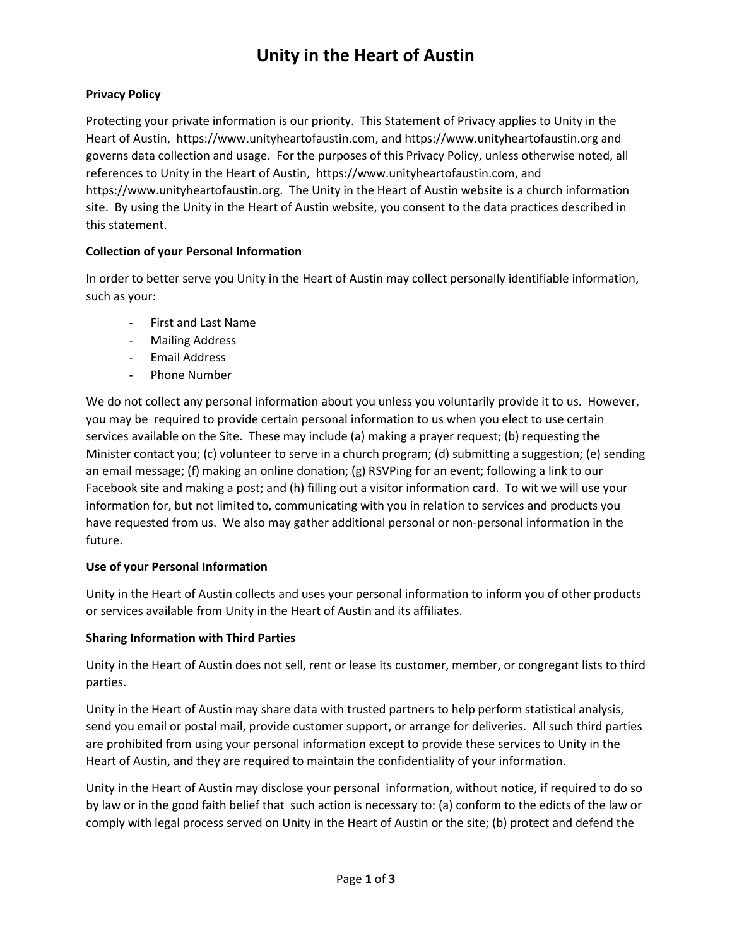# **Unity in the Heart of Austin**

### **Privacy Policy**

Protecting your private information is our priority. This Statement of Privacy applies to Unity in the Heart of Austin, https://www.unityheartofaustin.com, and https://www.unityheartofaustin.org and governs data collection and usage. For the purposes of this Privacy Policy, unless otherwise noted, all references to Unity in the Heart of Austin, https://www.unityheartofaustin.com, and https://www.unityheartofaustin.org. The Unity in the Heart of Austin website is a church information site. By using the Unity in the Heart of Austin website, you consent to the data practices described in this statement.

#### **Collection of your Personal Information**

In order to better serve you Unity in the Heart of Austin may collect personally identifiable information, such as your:

- First and Last Name
- Mailing Address
- Email Address
- Phone Number

We do not collect any personal information about you unless you voluntarily provide it to us. However, you may be required to provide certain personal information to us when you elect to use certain services available on the Site. These may include (a) making a prayer request; (b) requesting the Minister contact you; (c) volunteer to serve in a church program; (d) submitting a suggestion; (e) sending an email message; (f) making an online donation; (g) RSVPing for an event; following a link to our Facebook site and making a post; and (h) filling out a visitor information card. To wit we will use your information for, but not limited to, communicating with you in relation to services and products you have requested from us. We also may gather additional personal or non-personal information in the future.

#### **Use of your Personal Information**

Unity in the Heart of Austin collects and uses your personal information to inform you of other products or services available from Unity in the Heart of Austin and its affiliates.

#### **Sharing Information with Third Parties**

Unity in the Heart of Austin does not sell, rent or lease its customer, member, or congregant lists to third parties.

Unity in the Heart of Austin may share data with trusted partners to help perform statistical analysis, send you email or postal mail, provide customer support, or arrange for deliveries. All such third parties are prohibited from using your personal information except to provide these services to Unity in the Heart of Austin, and they are required to maintain the confidentiality of your information.

Unity in the Heart of Austin may disclose your personal information, without notice, if required to do so by law or in the good faith belief that such action is necessary to: (a) conform to the edicts of the law or comply with legal process served on Unity in the Heart of Austin or the site; (b) protect and defend the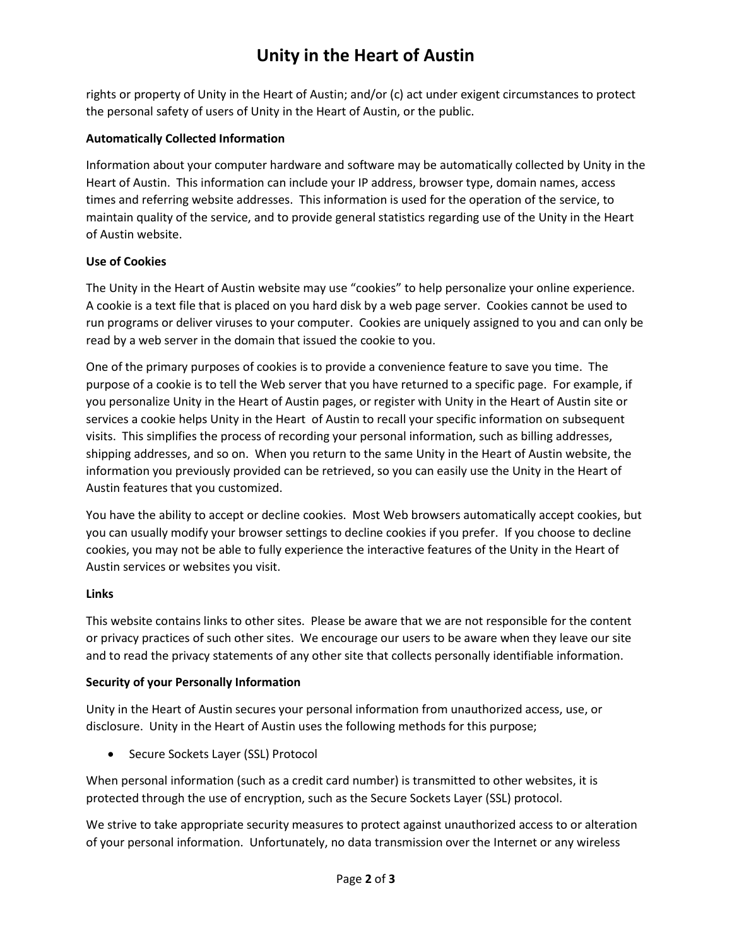# **Unity in the Heart of Austin**

rights or property of Unity in the Heart of Austin; and/or (c) act under exigent circumstances to protect the personal safety of users of Unity in the Heart of Austin, or the public.

## **Automatically Collected Information**

Information about your computer hardware and software may be automatically collected by Unity in the Heart of Austin. This information can include your IP address, browser type, domain names, access times and referring website addresses. This information is used for the operation of the service, to maintain quality of the service, and to provide general statistics regarding use of the Unity in the Heart of Austin website.

### **Use of Cookies**

The Unity in the Heart of Austin website may use "cookies" to help personalize your online experience. A cookie is a text file that is placed on you hard disk by a web page server. Cookies cannot be used to run programs or deliver viruses to your computer. Cookies are uniquely assigned to you and can only be read by a web server in the domain that issued the cookie to you.

One of the primary purposes of cookies is to provide a convenience feature to save you time. The purpose of a cookie is to tell the Web server that you have returned to a specific page. For example, if you personalize Unity in the Heart of Austin pages, or register with Unity in the Heart of Austin site or services a cookie helps Unity in the Heart of Austin to recall your specific information on subsequent visits. This simplifies the process of recording your personal information, such as billing addresses, shipping addresses, and so on. When you return to the same Unity in the Heart of Austin website, the information you previously provided can be retrieved, so you can easily use the Unity in the Heart of Austin features that you customized.

You have the ability to accept or decline cookies. Most Web browsers automatically accept cookies, but you can usually modify your browser settings to decline cookies if you prefer. If you choose to decline cookies, you may not be able to fully experience the interactive features of the Unity in the Heart of Austin services or websites you visit.

## **Links**

This website contains links to other sites. Please be aware that we are not responsible for the content or privacy practices of such other sites. We encourage our users to be aware when they leave our site and to read the privacy statements of any other site that collects personally identifiable information.

## **Security of your Personally Information**

Unity in the Heart of Austin secures your personal information from unauthorized access, use, or disclosure. Unity in the Heart of Austin uses the following methods for this purpose;

• Secure Sockets Layer (SSL) Protocol

When personal information (such as a credit card number) is transmitted to other websites, it is protected through the use of encryption, such as the Secure Sockets Layer (SSL) protocol.

We strive to take appropriate security measures to protect against unauthorized access to or alteration of your personal information. Unfortunately, no data transmission over the Internet or any wireless